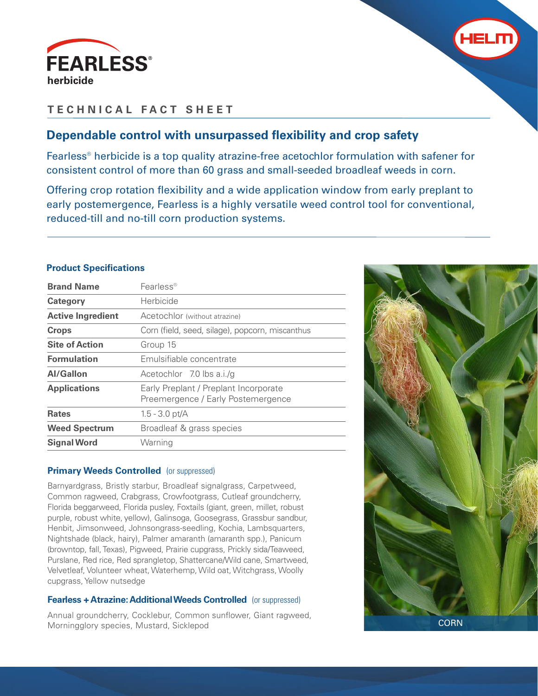



# **TECHNICAL FACT SHEET**

# **Dependable control with unsurpassed flexibility and crop safety**

Fearless® herbicide is a top quality atrazine-free acetochlor formulation with safener for consistent control of more than 60 grass and small-seeded broadleaf weeds in corn.

Offering crop rotation flexibility and a wide application window from early preplant to early postemergence, Fearless is a highly versatile weed control tool for conventional, reduced-till and no-till corn production systems.

## **Product Specifications**

| <b>Brand Name</b>        | $Fe$ arless®                                                                |
|--------------------------|-----------------------------------------------------------------------------|
| <b>Category</b>          | Herbicide                                                                   |
| <b>Active Ingredient</b> | Acetochlor (without atrazine)                                               |
| <b>Crops</b>             | Corn (field, seed, silage), popcorn, miscanthus                             |
| <b>Site of Action</b>    | Group 15                                                                    |
| <b>Formulation</b>       | Emulsifiable concentrate                                                    |
| Al/Gallon                | Acetochlor 7.0 lbs a.i./q                                                   |
| <b>Applications</b>      | Early Preplant / Preplant Incorporate<br>Preemergence / Early Postemergence |
| <b>Rates</b>             | $1.5 - 3.0$ pt/A                                                            |
| <b>Weed Spectrum</b>     | Broadleaf & grass species                                                   |
| <b>Signal Word</b>       | Warning                                                                     |
|                          |                                                                             |

## **Primary Weeds Controlled** (or suppressed)

Barnyardgrass, Bristly starbur, Broadleaf signalgrass, Carpetweed, Common ragweed, Crabgrass, Crowfootgrass, Cutleaf groundcherry, Florida beggarweed, Florida pusley, Foxtails (giant, green, millet, robust purple, robust white, yellow), Galinsoga, Goosegrass, Grassbur sandbur, Henbit, Jimsonweed, Johnsongrass-seedling, Kochia, Lambsquarters, Nightshade (black, hairy), Palmer amaranth (amaranth spp.), Panicum (browntop, fall, Texas), Pigweed, Prairie cupgrass, Prickly sida/Teaweed, Purslane, Red rice, Red sprangletop, Shattercane/Wild cane, Smartweed, Velvetleaf, Volunteer wheat, Waterhemp, Wild oat, Witchgrass, Woolly cupgrass, Yellow nutsedge

# **Fearless + Atrazine: Additional Weeds Controlled** (or suppressed)

Annual groundcherry, Cocklebur, Common sunflower, Giant ragweed, Morningglory species, Mustard, Sicklepod



**CORN**